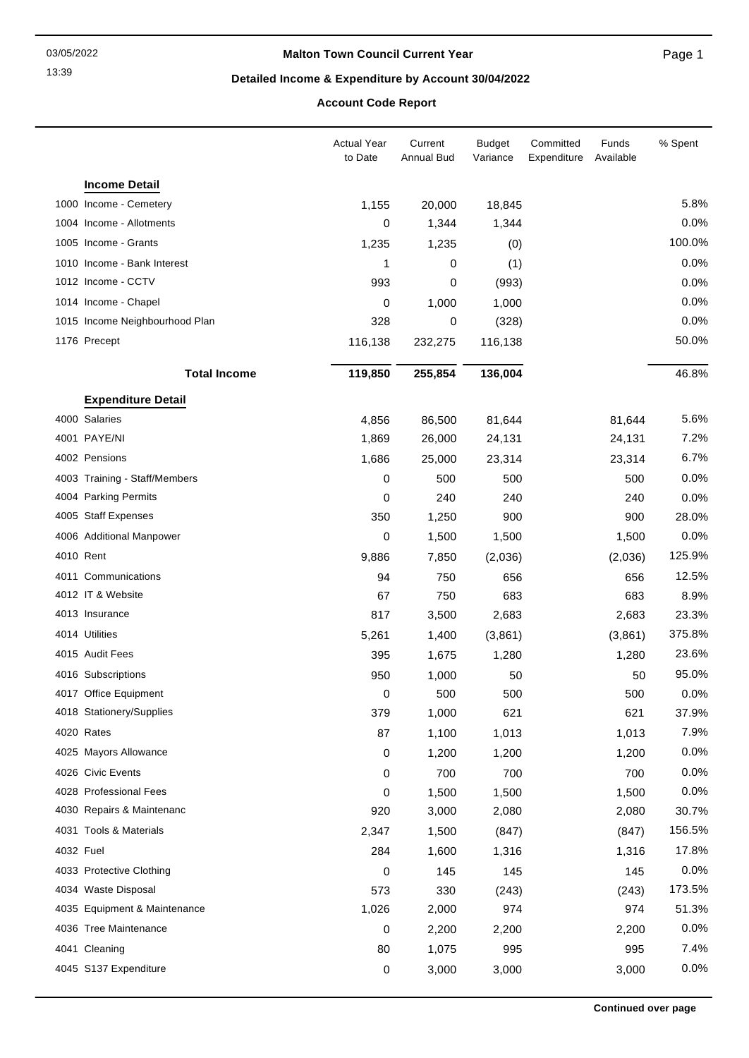### **Malton Town Council Current Year**

Page 1

### **Detailed Income & Expenditure by Account 30/04/2022**

## **Account Code Report**

|           |                                | <b>Actual Year</b><br>to Date | Current<br><b>Annual Bud</b> | <b>Budget</b><br>Variance | Committed<br>Expenditure | Funds<br>Available | % Spent |
|-----------|--------------------------------|-------------------------------|------------------------------|---------------------------|--------------------------|--------------------|---------|
|           | <b>Income Detail</b>           |                               |                              |                           |                          |                    |         |
|           | 1000 Income - Cemetery         | 1,155                         | 20,000                       | 18,845                    |                          |                    | 5.8%    |
|           | 1004 Income - Allotments       | 0                             | 1,344                        | 1,344                     |                          |                    | 0.0%    |
|           | 1005 Income - Grants           | 1,235                         | 1,235                        | (0)                       |                          |                    | 100.0%  |
|           | 1010 Income - Bank Interest    | 1                             | 0                            | (1)                       |                          |                    | 0.0%    |
|           | 1012 Income - CCTV             | 993                           | 0                            | (993)                     |                          |                    | 0.0%    |
|           | 1014 Income - Chapel           | 0                             | 1,000                        | 1,000                     |                          |                    | 0.0%    |
|           | 1015 Income Neighbourhood Plan | 328                           | 0                            | (328)                     |                          |                    | 0.0%    |
|           | 1176 Precept                   | 116,138                       | 232,275                      | 116,138                   |                          |                    | 50.0%   |
|           | <b>Total Income</b>            | 119,850                       | 255,854                      | 136,004                   |                          |                    | 46.8%   |
|           | <b>Expenditure Detail</b>      |                               |                              |                           |                          |                    |         |
|           | 4000 Salaries                  | 4,856                         | 86,500                       | 81,644                    |                          | 81,644             | 5.6%    |
|           | 4001 PAYE/NI                   | 1,869                         | 26,000                       | 24,131                    |                          | 24,131             | 7.2%    |
|           | 4002 Pensions                  | 1,686                         | 25,000                       | 23,314                    |                          | 23,314             | 6.7%    |
|           | 4003 Training - Staff/Members  | 0                             | 500                          | 500                       |                          | 500                | 0.0%    |
|           | 4004 Parking Permits           | 0                             | 240                          | 240                       |                          | 240                | 0.0%    |
|           | 4005 Staff Expenses            | 350                           | 1,250                        | 900                       |                          | 900                | 28.0%   |
|           | 4006 Additional Manpower       | 0                             | 1,500                        | 1,500                     |                          | 1,500              | 0.0%    |
|           | 4010 Rent                      | 9,886                         | 7,850                        | (2,036)                   |                          | (2,036)            | 125.9%  |
|           | 4011 Communications            | 94                            | 750                          | 656                       |                          | 656                | 12.5%   |
|           | 4012 IT & Website              | 67                            | 750                          | 683                       |                          | 683                | 8.9%    |
|           | 4013 Insurance                 | 817                           | 3,500                        | 2,683                     |                          | 2,683              | 23.3%   |
|           | 4014 Utilities                 | 5,261                         | 1,400                        | (3,861)                   |                          | (3,861)            | 375.8%  |
|           | 4015 Audit Fees                | 395                           | 1,675                        | 1,280                     |                          | 1,280              | 23.6%   |
|           | 4016 Subscriptions             | 950                           | 1,000                        | 50                        |                          | 50                 | 95.0%   |
|           | 4017 Office Equipment          | 0                             | 500                          | 500                       |                          | 500                | 0.0%    |
|           | 4018 Stationery/Supplies       | 379                           | 1,000                        | 621                       |                          | 621                | 37.9%   |
|           | 4020 Rates                     | 87                            | 1,100                        | 1,013                     |                          | 1,013              | 7.9%    |
|           | 4025 Mayors Allowance          | 0                             | 1,200                        | 1,200                     |                          | 1,200              | 0.0%    |
|           | 4026 Civic Events              | 0                             | 700                          | 700                       |                          | 700                | 0.0%    |
|           | 4028 Professional Fees         | 0                             | 1,500                        | 1,500                     |                          | 1,500              | 0.0%    |
|           | 4030 Repairs & Maintenanc      | 920                           | 3,000                        | 2,080                     |                          | 2,080              | 30.7%   |
|           | 4031 Tools & Materials         | 2,347                         | 1,500                        | (847)                     |                          | (847)              | 156.5%  |
| 4032 Fuel |                                | 284                           | 1,600                        | 1,316                     |                          | 1,316              | 17.8%   |
|           | 4033 Protective Clothing       | 0                             | 145                          | 145                       |                          | 145                | 0.0%    |
|           | 4034 Waste Disposal            | 573                           | 330                          | (243)                     |                          | (243)              | 173.5%  |
|           | 4035 Equipment & Maintenance   | 1,026                         | 2,000                        | 974                       |                          | 974                | 51.3%   |
|           | 4036 Tree Maintenance          | 0                             | 2,200                        | 2,200                     |                          | 2,200              | 0.0%    |
|           | 4041 Cleaning                  | 80                            | 1,075                        | 995                       |                          | 995                | 7.4%    |
|           | 4045 S137 Expenditure          | 0                             | 3,000                        | 3,000                     |                          | 3,000              | 0.0%    |